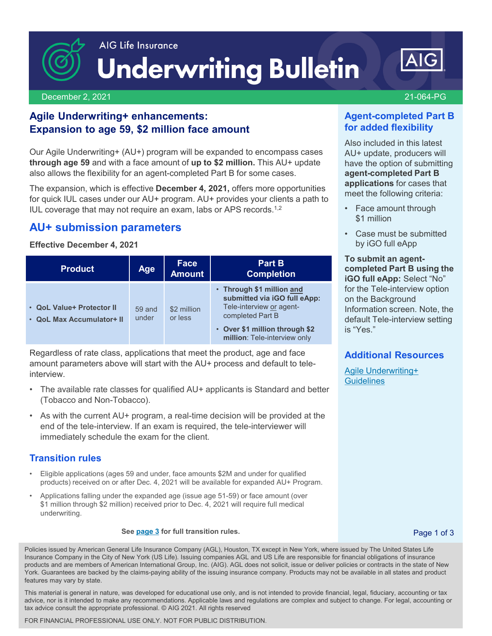

December 2, 2021 21-064-PG

# **Agile Underwriting+ enhancements: Expansion to age 59, \$2 million face amount**

Our Agile Underwriting+ (AU+) program will be expanded to encompass cases **through age 59** and with a face amount of **up to \$2 million.** This AU+ update also allows the flexibility for an agent-completed Part B for some cases.

The expansion, which is effective **December 4, 2021,** offers more opportunities for quick IUL cases under our AU+ program. AU+ provides your clients a path to IUL coverage that may not require an exam, labs or APS records.1,2

# **AU+ submission parameters**

#### **Effective December 4, 2021**

| <b>Product</b>                                         | Age             | Face<br><b>Amount</b>  | Part B<br><b>Completion</b>                                                                                                                                                 |
|--------------------------------------------------------|-----------------|------------------------|-----------------------------------------------------------------------------------------------------------------------------------------------------------------------------|
| • QoL Value+ Protector II<br>• QoL Max Accumulator+ II | 59 and<br>under | \$2 million<br>or less | • Through \$1 million and<br>submitted via iGO full eApp:<br>Tele-interview or agent-<br>completed Part B<br>• Over \$1 million through \$2<br>million: Tele-interview only |

Regardless of rate class, applications that meet the product, age and face amount parameters above will start with the AU+ process and default to teleinterview.

- The available rate classes for qualified AU+ applicants is Standard and better (Tobacco and Non-Tobacco).
- As with the current AU+ program, a real-time decision will be provided at the end of the tele-interview. If an exam is required, the tele-interviewer will immediately schedule the exam for the client.

## **Transition rules**

- Eligible applications (ages 59 and under, face amounts \$2M and under for qualified products) received on or after Dec. 4, 2021 will be available for expanded AU+ Program.
- Applications falling under the expanded age (issue age 51-59) or face amount (over \$1 million through \$2 million) received prior to Dec. 4, 2021 will require full medical underwriting.

#### **See [page 3](#page-2-0) for full transition rules.** Page 1 of 3

Policies issued by American General Life Insurance Company (AGL), Houston, TX except in New York, where issued by The United States Life Insurance Company in the City of New York (US Life). Issuing companies AGL and US Life are responsible for financial obligations of insurance products and are members of American International Group, Inc. (AIG). AGL does not solicit, issue or deliver policies or contracts in the state of New York. Guarantees are backed by the claims-paying ability of the issuing insurance company. Products may not be available in all states and product features may vary by state.

advice, nor is it intended to make any recommendations. Applicable laws and regulations are complex and subject to change. For legal, accounting or tax This material is general in nature, was developed for educational use only, and is not intended to provide financial, legal, fiduciary, accounting or tax tax advice consult the appropriate professional. © AIG 2021. All rights reserved

FOR FINANCIAL PROFESSIONAL USE ONLY. NOT FOR PUBLIC DISTRIBUTION.

## **Agent-completed Part B for added flexibility**

Also included in this latest AU+ update, producers will have the option of submitting **agent-completed Part B applications** for cases that meet the following criteria:

- Face amount through \$1 million
- Case must be submitted by iGO full eApp

**To submit an agentcompleted Part B using the iGO full eApp:** Select "No" for the Tele-interview option on the Background Information screen. Note, the default Tele-interview setting is "Yes."

## **Additional Resources**

[Agile Underwriting+](https://adminplus.fgsfulfillment.com/View/AIGAG/1/AGLC110667)  **[Guidelines](https://adminplus.fgsfulfillment.com/View/AIGAG/1/AGLC110667)** 

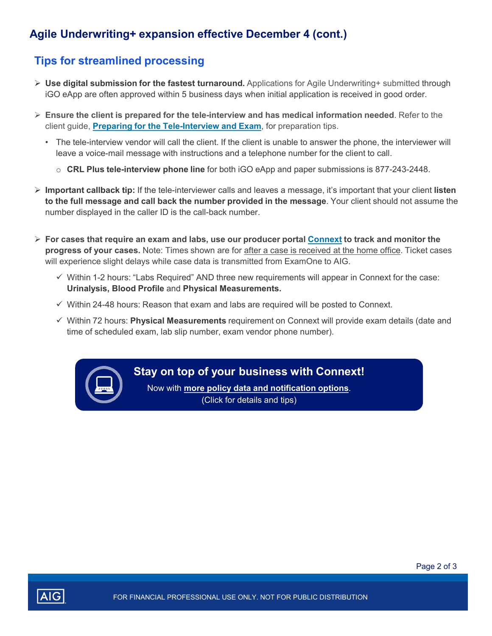# **Agile Underwriting+ expansion effective December 4 (cont.)**

# **Tips for streamlined processing**

- **Use digital submission for the fastest turnaround.** Applications for Agile Underwriting+ submitted through iGO eApp are often approved within 5 business days when initial application is received in good order.
- **Ensure the client is prepared for the tele-interview and has medical information needed**. Refer to the client guide, **[Preparing for the Tele-Interview and Exam](https://adminplus.fgsfulfillment.com/View/AIGAG/1/AGLC105726-QT)**, for preparation tips.
	- The tele-interview vendor will call the client. If the client is unable to answer the phone, the interviewer will leave a voice-mail message with instructions and a telephone number for the client to call.
		- o **CRL Plus tele-interview phone line** for both iGO eApp and paper submissions is 877-243-2448.
- **Important callback tip:** If the tele-interviewer calls and leaves a message, it's important that your client **listen to the full message and call back the number provided in the message**. Your client should not assume the number displayed in the caller ID is the call-back number.
- **For cases that require an exam and labs, use our producer portal [Connext](http://www.aig.com/Connext) to track and monitor the progress of your cases.** Note: Times shown are for after a case is received at the home office. Ticket cases will experience slight delays while case data is transmitted from ExamOne to AIG.
	- $\checkmark$  Within 1-2 hours: "Labs Required" AND three new requirements will appear in Connext for the case: **Urinalysis, Blood Profile** and **Physical Measurements.**
	- $\checkmark$  Within 24-48 hours: Reason that exam and labs are required will be posted to Connext.
	- Within 72 hours: **Physical Measurements** requirement on Connext will provide exam details (date and time of scheduled exam, lab slip number, exam vendor phone number).



## **[Stay on top of your business with Connext!](https://live.cloud.api.aig.com/life/connext-fdm/download/100AicF6FGkgO9MMYvefTIwGZOWKBeuSgbesHylE1uhu1IBqfJ9UUhS-nO76FDhhGqn2hzQpU5wqCDOWJdBXe6xL4g)**

Now with **more policy data and notification options**. (Click for details and tips)